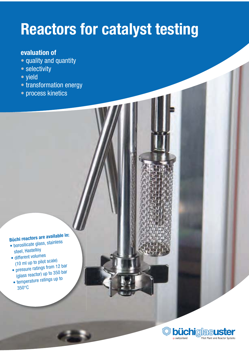## **Reactors for catalyst testing**

## evaluation of

- quality and quantity
- selectivity
- yield
- transformation energy
- · process kinetics

## Büchi reactors are available in:

- · borosilicate glass, stainless steel, Hastelloy
- · different volumes (10 ml up to pilot scale)
- pressure ratings from 12 bar (glass reactor) up to 350 bar
- · temperature ratings up to  $350^{\circ}$ C

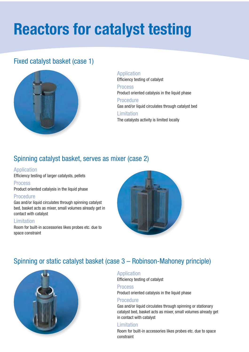# **Reactors for catalyst testing**

## Fixed catalyst basket (case 1)



Application Efficiency testing of catalyst **Process** Product oriented catalysis in the liquid phase Procedure Gas and/or liquid circulates through catalyst bed **Limitation** The catalysts activity is limited locally

## Spinning catalyst basket, serves as mixer (case 2)

#### **Application**

Efficiency testing of larger catalysts, pellets

#### **Process**

Product oriented catalysis in the liquid phase

#### **Procedure**

Gas and/or liquid circulates through spinning catalyst bed, basket acts as mixer, small volumes already get in contact with catalyst

#### Limitation

Room for built-in accessories likes probes etc. due to space constraint



## Spinning or static catalyst basket (case 3 - Robinson-Mahoney principle)



#### **Application**

Efficiency testing of catalyst

#### **Process**

Product oriented catalysis in the liquid phase

#### **Procedure**

Gas and/or liquid circulates through spinning or stationary catalyst bed, basket acts as mixer, small volumes already get in contact with catalyst

#### Limitation

Room for built-in accessories likes probes etc. due to space constraint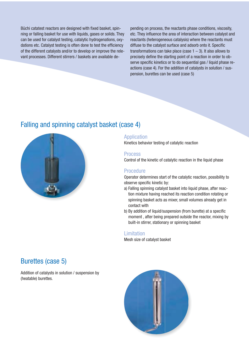Büchi catatest reactors are designed with fixed basket, spinning or falling basket for use with liquids, gases or solids. They can be used for catalyst testing, catalytic hydrogenations, oxydations etc. Catalyst testing is often done to test the efficiency of the different catalysts and/or to develop or improve the relevant processes. Different stirrers / baskets are available depending on process, the reactants phase conditions, viscosity, etc. They influence the area of interaction between catalyst and reactants (heterogeneous catalysis) where the reactants must diffuse to the catalyst surface and adsorb onto it. Specific transformations can take place (case  $1 - 3$ ). It also allows to precisely define the starting point of a reaction in order to observe specific kinetics or to do sequential gas / liquid phase reactions (case 4). For the addition of catalysts in solution / suspension, burettes can be used (case 5)

### Falling and spinning catalyst basket (case 4)



#### **Application**

Kinetics behavior testing of catalytic reaction

#### **Process**

Control of the kinetic of catalytic reaction in the liquid phase

#### **Procedure**

Operator determines start of the catalytic reaction, possibility to observe specific kinetic by:

- a) Falling spinning catalyst basket into liquid phase, after reaction mixture having reached its reaction condition rotating or spinning basket acts as mixer, small volumes already get in contact with
- b) By addition of liquid/suspension (from burette) at a specific moment, after being prepared outside the reactor, mixing by built-in stirrer, stationary or spinning basket

#### **Limitation**

Mesh size of catalyst basket

### **Burettes (case 5)**

Addition of catalysts in solution / suspension by (heatable) burettes.